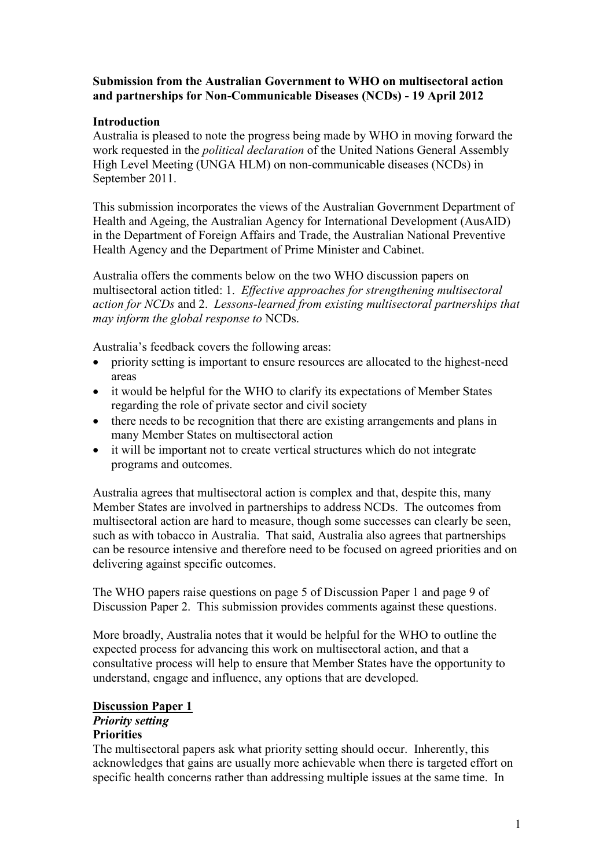### **Submission from the Australian Government to WHO on multisectoral action and partnerships for Non-Communicable Diseases (NCDs) - 19 April 2012**

## **Introduction**

Australia is pleased to note the progress being made by WHO in moving forward the work requested in the *political declaration* of the United Nations General Assembly High Level Meeting (UNGA HLM) on non-communicable diseases (NCDs) in September 2011.

This submission incorporates the views of the Australian Government Department of Health and Ageing, the Australian Agency for International Development (AusAID) in the Department of Foreign Affairs and Trade, the Australian National Preventive Health Agency and the Department of Prime Minister and Cabinet.

Australia offers the comments below on the two WHO discussion papers on multisectoral action titled: 1. *Effective approaches for strengthening multisectoral action for NCDs* and 2. *Lessons-learned from existing multisectoral partnerships that may inform the global response to* NCDs.

Australia's feedback covers the following areas:

- priority setting is important to ensure resources are allocated to the highest-need areas
- it would be helpful for the WHO to clarify its expectations of Member States regarding the role of private sector and civil society
- there needs to be recognition that there are existing arrangements and plans in many Member States on multisectoral action
- it will be important not to create vertical structures which do not integrate programs and outcomes.

Australia agrees that multisectoral action is complex and that, despite this, many Member States are involved in partnerships to address NCDs. The outcomes from multisectoral action are hard to measure, though some successes can clearly be seen, such as with tobacco in Australia. That said, Australia also agrees that partnerships can be resource intensive and therefore need to be focused on agreed priorities and on delivering against specific outcomes.

The WHO papers raise questions on page 5 of Discussion Paper 1 and page 9 of Discussion Paper 2. This submission provides comments against these questions.

More broadly, Australia notes that it would be helpful for the WHO to outline the expected process for advancing this work on multisectoral action, and that a consultative process will help to ensure that Member States have the opportunity to understand, engage and influence, any options that are developed.

# **Discussion Paper 1** *Priority setting*

### **Priorities**

The multisectoral papers ask what priority setting should occur. Inherently, this acknowledges that gains are usually more achievable when there is targeted effort on specific health concerns rather than addressing multiple issues at the same time. In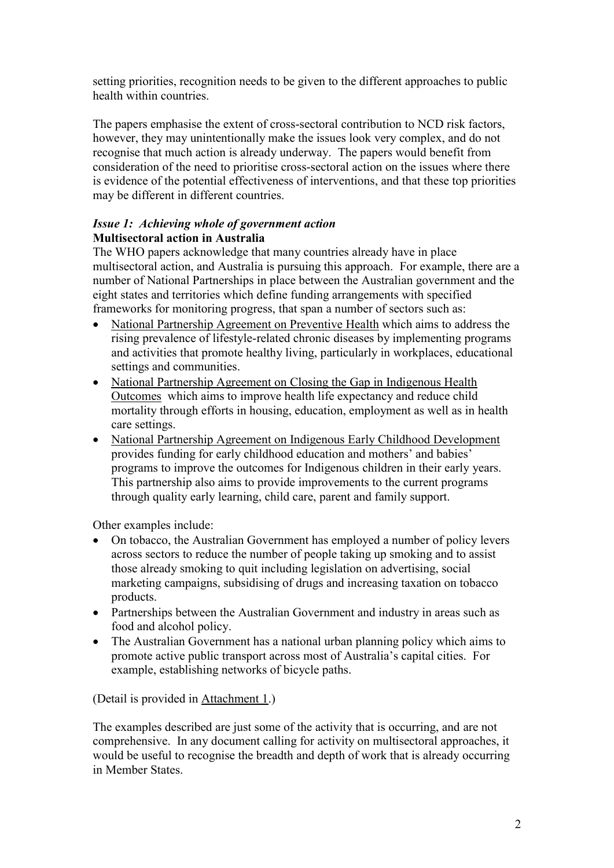setting priorities, recognition needs to be given to the different approaches to public health within countries.

The papers emphasise the extent of cross-sectoral contribution to NCD risk factors, however, they may unintentionally make the issues look very complex, and do not recognise that much action is already underway. The papers would benefit from consideration of the need to prioritise cross-sectoral action on the issues where there is evidence of the potential effectiveness of interventions, and that these top priorities may be different in different countries.

# *Issue 1: Achieving whole of government action* **Multisectoral action in Australia**

The WHO papers acknowledge that many countries already have in place multisectoral action, and Australia is pursuing this approach. For example, there are a number of National Partnerships in place between the Australian government and the eight states and territories which define funding arrangements with specified frameworks for monitoring progress, that span a number of sectors such as:

- National Partnership Agreement on Preventive Health which aims to address the rising prevalence of lifestyle-related chronic diseases by implementing programs and activities that promote healthy living, particularly in workplaces, educational settings and communities.
- National Partnership Agreement on Closing the Gap in Indigenous Health Outcomes which aims to improve health life expectancy and reduce child mortality through efforts in housing, education, employment as well as in health care settings.
- National Partnership Agreement on Indigenous Early Childhood Development provides funding for early childhood education and mothers' and babies' programs to improve the outcomes for Indigenous children in their early years. This partnership also aims to provide improvements to the current programs through quality early learning, child care, parent and family support.

Other examples include:

- On tobacco, the Australian Government has employed a number of policy levers across sectors to reduce the number of people taking up smoking and to assist those already smoking to quit including legislation on advertising, social marketing campaigns, subsidising of drugs and increasing taxation on tobacco products.
- Partnerships between the Australian Government and industry in areas such as food and alcohol policy.
- The Australian Government has a national urban planning policy which aims to promote active public transport across most of Australia's capital cities. For example, establishing networks of bicycle paths.

(Detail is provided in Attachment 1.)

The examples described are just some of the activity that is occurring, and are not comprehensive. In any document calling for activity on multisectoral approaches, it would be useful to recognise the breadth and depth of work that is already occurring in Member States.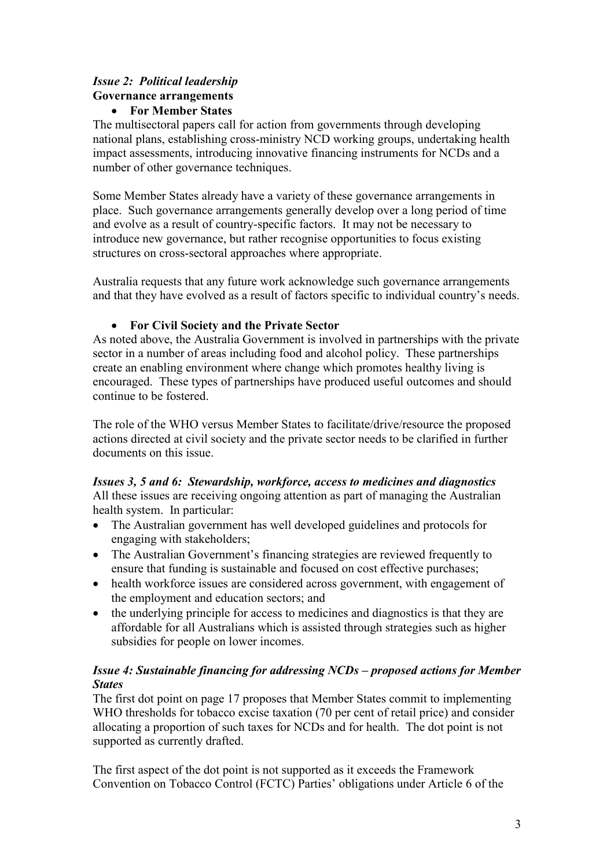# *Issue 2: Political leadership* **Governance arrangements**

## **For Member States**

The multisectoral papers call for action from governments through developing national plans, establishing cross-ministry NCD working groups, undertaking health impact assessments, introducing innovative financing instruments for NCDs and a number of other governance techniques.

Some Member States already have a variety of these governance arrangements in place. Such governance arrangements generally develop over a long period of time and evolve as a result of country-specific factors. It may not be necessary to introduce new governance, but rather recognise opportunities to focus existing structures on cross-sectoral approaches where appropriate.

Australia requests that any future work acknowledge such governance arrangements and that they have evolved as a result of factors specific to individual country's needs.

# **For Civil Society and the Private Sector**

As noted above, the Australia Government is involved in partnerships with the private sector in a number of areas including food and alcohol policy. These partnerships create an enabling environment where change which promotes healthy living is encouraged. These types of partnerships have produced useful outcomes and should continue to be fostered.

The role of the WHO versus Member States to facilitate/drive/resource the proposed actions directed at civil society and the private sector needs to be clarified in further documents on this issue.

## *Issues 3, 5 and 6: Stewardship, workforce, access to medicines and diagnostics* All these issues are receiving ongoing attention as part of managing the Australian health system. In particular:

- The Australian government has well developed guidelines and protocols for engaging with stakeholders;
- The Australian Government's financing strategies are reviewed frequently to ensure that funding is sustainable and focused on cost effective purchases;
- health workforce issues are considered across government, with engagement of the employment and education sectors; and
- the underlying principle for access to medicines and diagnostics is that they are affordable for all Australians which is assisted through strategies such as higher subsidies for people on lower incomes.

# *Issue 4: Sustainable financing for addressing NCDs – proposed actions for Member States*

The first dot point on page 17 proposes that Member States commit to implementing WHO thresholds for tobacco excise taxation (70 per cent of retail price) and consider allocating a proportion of such taxes for NCDs and for health. The dot point is not supported as currently drafted.

The first aspect of the dot point is not supported as it exceeds the Framework Convention on Tobacco Control (FCTC) Parties' obligations under Article 6 of the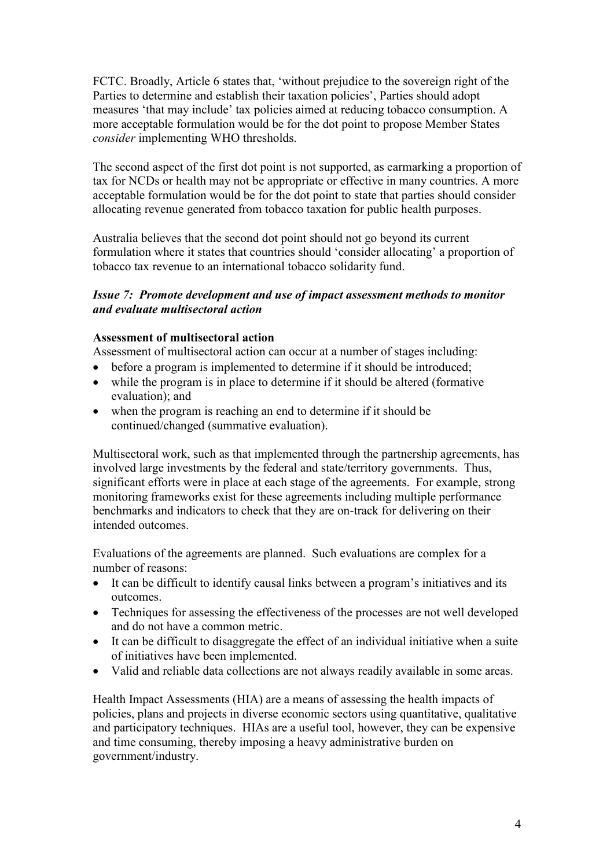FCTC. Broadly, Article 6 states that, 'without prejudice to the sovereign right of the Parties to determine and establish their taxation policies', Parties should adopt measures 'that may include' tax policies aimed at reducing tobacco consumption. A more acceptable formulation would be for the dot point to propose Member States *consider* implementing WHO thresholds.

The second aspect of the first dot point is not supported, as earmarking a proportion of tax for NCDs or health may not be appropriate or effective in many countries. A more acceptable formulation would be for the dot point to state that parties should consider allocating revenue generated from tobacco taxation for public health purposes.

Australia believes that the second dot point should not go beyond its current formulation where it states that countries should 'consider allocating' a proportion of tobacco tax revenue to an international tobacco solidarity fund.

## *Issue 7: Promote development and use of impact assessment methods to monitor and evaluate multisectoral action*

#### **Assessment of multisectoral action**

Assessment of multisectoral action can occur at a number of stages including:

- before a program is implemented to determine if it should be introduced;
- while the program is in place to determine if it should be altered (formative evaluation); and
- when the program is reaching an end to determine if it should be continued/changed (summative evaluation).

Multisectoral work, such as that implemented through the partnership agreements, has involved large investments by the federal and state/territory governments. Thus, significant efforts were in place at each stage of the agreements. For example, strong monitoring frameworks exist for these agreements including multiple performance benchmarks and indicators to check that they are on-track for delivering on their intended outcomes.

Evaluations of the agreements are planned. Such evaluations are complex for a number of reasons:

- It can be difficult to identify causal links between a program's initiatives and its outcomes.
- Techniques for assessing the effectiveness of the processes are not well developed and do not have a common metric.
- It can be difficult to disaggregate the effect of an individual initiative when a suite of initiatives have been implemented.
- Valid and reliable data collections are not always readily available in some areas.

Health Impact Assessments (HIA) are a means of assessing the health impacts of policies, plans and projects in diverse economic sectors using quantitative, qualitative and participatory techniques. HIAs are a useful tool, however, they can be expensive and time consuming, thereby imposing a heavy administrative burden on government/industry.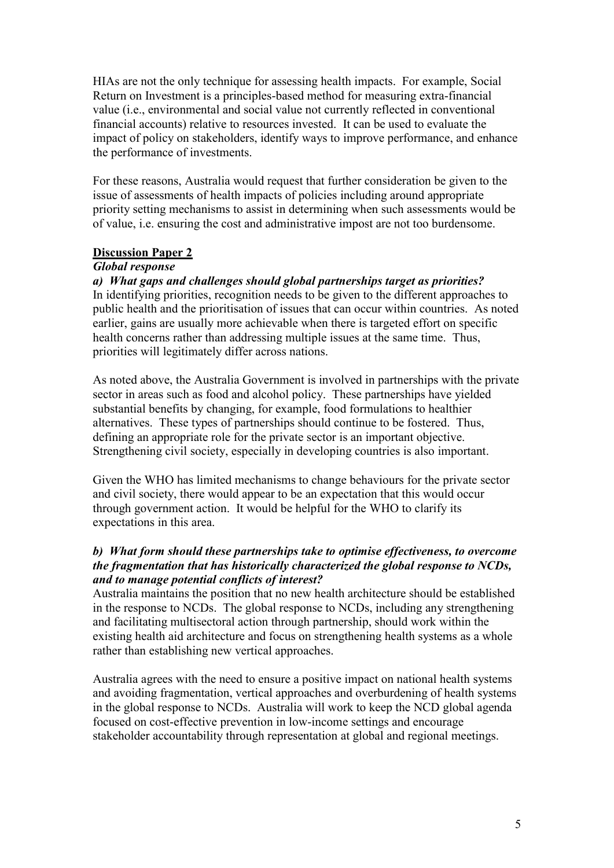HIAs are not the only technique for assessing health impacts. For example, Social Return on Investment is a principles-based method for measuring extra-financial value (i.e., environmental and social value not currently reflected in conventional financial accounts) relative to resources invested. It can be used to evaluate the impact of policy on stakeholders, identify ways to improve performance, and enhance the performance of investments.

For these reasons, Australia would request that further consideration be given to the issue of assessments of health impacts of policies including around appropriate priority setting mechanisms to assist in determining when such assessments would be of value, i.e. ensuring the cost and administrative impost are not too burdensome.

#### **Discussion Paper 2**

### *Global response*

## *a) What gaps and challenges should global partnerships target as priorities?*

In identifying priorities, recognition needs to be given to the different approaches to public health and the prioritisation of issues that can occur within countries. As noted earlier, gains are usually more achievable when there is targeted effort on specific health concerns rather than addressing multiple issues at the same time. Thus, priorities will legitimately differ across nations.

As noted above, the Australia Government is involved in partnerships with the private sector in areas such as food and alcohol policy. These partnerships have yielded substantial benefits by changing, for example, food formulations to healthier alternatives. These types of partnerships should continue to be fostered. Thus, defining an appropriate role for the private sector is an important objective. Strengthening civil society, especially in developing countries is also important.

Given the WHO has limited mechanisms to change behaviours for the private sector and civil society, there would appear to be an expectation that this would occur through government action. It would be helpful for the WHO to clarify its expectations in this area.

## *b) What form should these partnerships take to optimise effectiveness, to overcome the fragmentation that has historically characterized the global response to NCDs, and to manage potential conflicts of interest?*

Australia maintains the position that no new health architecture should be established in the response to NCDs. The global response to NCDs, including any strengthening and facilitating multisectoral action through partnership, should work within the existing health aid architecture and focus on strengthening health systems as a whole rather than establishing new vertical approaches.

Australia agrees with the need to ensure a positive impact on national health systems and avoiding fragmentation, vertical approaches and overburdening of health systems in the global response to NCDs. Australia will work to keep the NCD global agenda focused on cost-effective prevention in low-income settings and encourage stakeholder accountability through representation at global and regional meetings.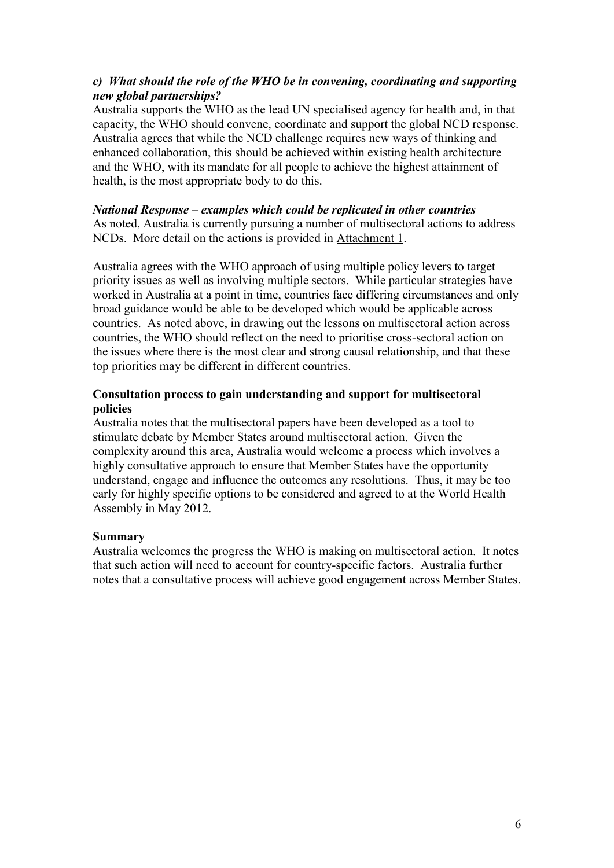## *c) What should the role of the WHO be in convening, coordinating and supporting new global partnerships?*

Australia supports the WHO as the lead UN specialised agency for health and, in that capacity, the WHO should convene, coordinate and support the global NCD response. Australia agrees that while the NCD challenge requires new ways of thinking and enhanced collaboration, this should be achieved within existing health architecture and the WHO, with its mandate for all people to achieve the highest attainment of health, is the most appropriate body to do this.

#### *National Response – examples which could be replicated in other countries* As noted, Australia is currently pursuing a number of multisectoral actions to address NCDs. More detail on the actions is provided in Attachment 1.

Australia agrees with the WHO approach of using multiple policy levers to target priority issues as well as involving multiple sectors. While particular strategies have worked in Australia at a point in time, countries face differing circumstances and only broad guidance would be able to be developed which would be applicable across countries. As noted above, in drawing out the lessons on multisectoral action across countries, the WHO should reflect on the need to prioritise cross-sectoral action on the issues where there is the most clear and strong causal relationship, and that these top priorities may be different in different countries.

### **Consultation process to gain understanding and support for multisectoral policies**

Australia notes that the multisectoral papers have been developed as a tool to stimulate debate by Member States around multisectoral action. Given the complexity around this area, Australia would welcome a process which involves a highly consultative approach to ensure that Member States have the opportunity understand, engage and influence the outcomes any resolutions. Thus, it may be too early for highly specific options to be considered and agreed to at the World Health Assembly in May 2012.

## **Summary**

Australia welcomes the progress the WHO is making on multisectoral action. It notes that such action will need to account for country-specific factors. Australia further notes that a consultative process will achieve good engagement across Member States.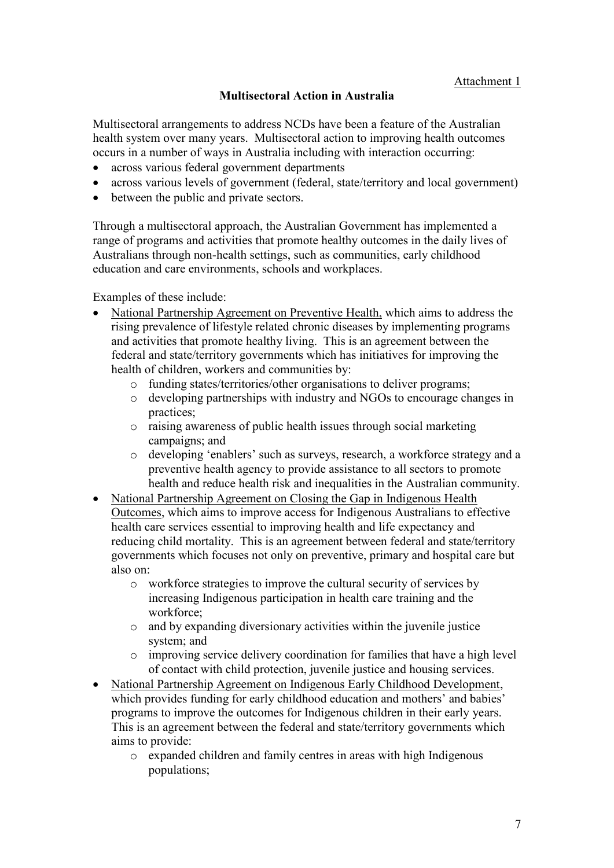# **Multisectoral Action in Australia**

Multisectoral arrangements to address NCDs have been a feature of the Australian health system over many years. Multisectoral action to improving health outcomes occurs in a number of ways in Australia including with interaction occurring:

- across various federal government departments
- across various levels of government (federal, state/territory and local government)
- between the public and private sectors.

Through a multisectoral approach, the Australian Government has implemented a range of programs and activities that promote healthy outcomes in the daily lives of Australians through non-health settings, such as communities, early childhood education and care environments, schools and workplaces.

Examples of these include:

- National Partnership Agreement on Preventive Health, which aims to address the rising prevalence of lifestyle related chronic diseases by implementing programs and activities that promote healthy living. This is an agreement between the federal and state/territory governments which has initiatives for improving the health of children, workers and communities by:
	- o funding states/territories/other organisations to deliver programs;
	- o developing partnerships with industry and NGOs to encourage changes in practices;
	- o raising awareness of public health issues through social marketing campaigns; and
	- o developing 'enablers' such as surveys, research, a workforce strategy and a preventive health agency to provide assistance to all sectors to promote health and reduce health risk and inequalities in the Australian community.
- National Partnership Agreement on Closing the Gap in Indigenous Health Outcomes, which aims to improve access for Indigenous Australians to effective health care services essential to improving health and life expectancy and reducing child mortality. This is an agreement between federal and state/territory governments which focuses not only on preventive, primary and hospital care but also on:
	- o workforce strategies to improve the cultural security of services by increasing Indigenous participation in health care training and the workforce;
	- o and by expanding diversionary activities within the juvenile justice system; and
	- o improving service delivery coordination for families that have a high level of contact with child protection, juvenile justice and housing services.
- National Partnership Agreement on Indigenous Early Childhood Development, which provides funding for early childhood education and mothers' and babies' programs to improve the outcomes for Indigenous children in their early years. This is an agreement between the federal and state/territory governments which aims to provide:
	- o expanded children and family centres in areas with high Indigenous populations;